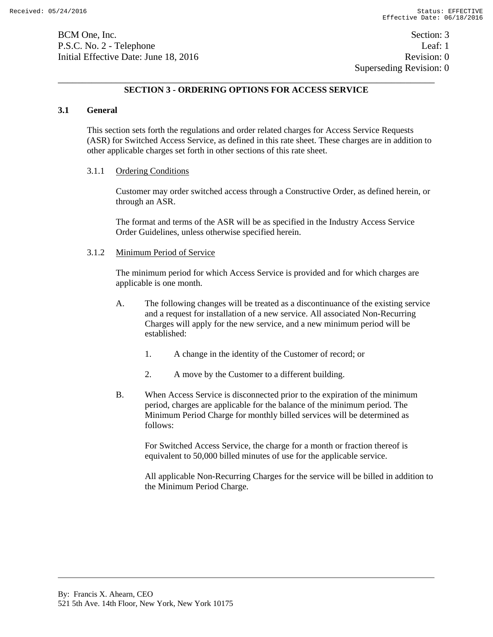BCM One, Inc. Section: 3 P.S.C. No. 2 - Telephone Leaf: 1 Initial Effective Date: June 18, 2016 **Revision: 0** Revision: 0

 Superseding Revision: 0 \_\_\_\_\_\_\_\_\_\_\_\_\_\_\_\_\_\_\_\_\_\_\_\_\_\_\_\_\_\_\_\_\_\_\_\_\_\_\_\_\_\_\_\_\_\_\_\_\_\_\_\_\_\_\_\_\_\_\_\_\_\_\_\_\_\_\_\_\_\_\_\_\_\_\_\_\_\_

# **SECTION 3 - ORDERING OPTIONS FOR ACCESS SERVICE**

### **3.1 General**

This section sets forth the regulations and order related charges for Access Service Requests (ASR) for Switched Access Service, as defined in this rate sheet. These charges are in addition to other applicable charges set forth in other sections of this rate sheet.

#### 3.1.1 Ordering Conditions

Customer may order switched access through a Constructive Order, as defined herein, or through an ASR.

The format and terms of the ASR will be as specified in the Industry Access Service Order Guidelines, unless otherwise specified herein.

### 3.1.2 Minimum Period of Service

The minimum period for which Access Service is provided and for which charges are applicable is one month.

- A. The following changes will be treated as a discontinuance of the existing service and a request for installation of a new service. All associated Non-Recurring Charges will apply for the new service, and a new minimum period will be established:
	- 1. A change in the identity of the Customer of record; or
	- 2. A move by the Customer to a different building.
- B. When Access Service is disconnected prior to the expiration of the minimum period, charges are applicable for the balance of the minimum period. The Minimum Period Charge for monthly billed services will be determined as follows:

For Switched Access Service, the charge for a month or fraction thereof is equivalent to 50,000 billed minutes of use for the applicable service.

All applicable Non-Recurring Charges for the service will be billed in addition to the Minimum Period Charge.